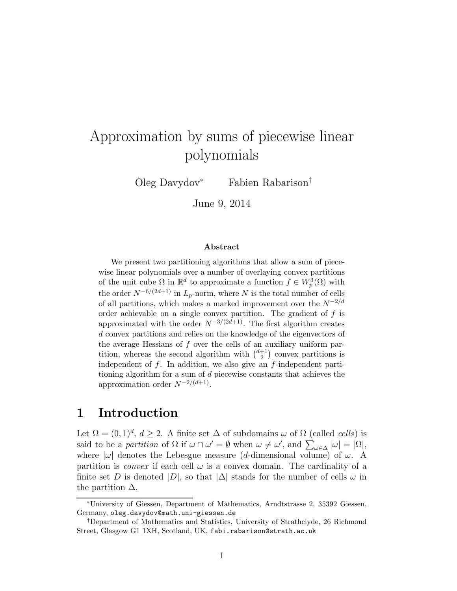# Approximation by sums of piecewise linear polynomials

Oleg Davydov<sup>∗</sup> Fabien Rabarison†

June 9, 2014

#### Abstract

We present two partitioning algorithms that allow a sum of piecewise linear polynomials over a number of overlaying convex partitions of the unit cube  $\Omega$  in  $\mathbb{R}^d$  to approximate a function  $f \in W_p^3(\Omega)$  with the order  $N^{-6/(2d+1)}$  in  $L_p$ -norm, where N is the total number of cells of all partitions, which makes a marked improvement over the  $N^{-2/d}$ order achievable on a single convex partition. The gradient of  $f$  is approximated with the order  $N^{-3/(2d+1)}$ . The first algorithm creates d convex partitions and relies on the knowledge of the eigenvectors of the average Hessians of  $f$  over the cells of an auxiliary uniform partition, whereas the second algorithm with  $\binom{d+1}{2}$  $\binom{+1}{2}$  convex partitions is independent of  $f$ . In addition, we also give an  $f$ -independent partitioning algorithm for a sum of  $d$  piecewise constants that achieves the approximation order  $N^{-2/(d+1)}$ .

#### 1 Introduction

Let  $\Omega = (0, 1)^d$ ,  $d \geq 2$ . A finite set  $\Delta$  of subdomains  $\omega$  of  $\Omega$  (called *cells*) is said to be a partition of  $\Omega$  if  $\omega \cap \omega' = \emptyset$  when  $\omega \neq \omega'$ , and  $\sum_{\omega \in \Delta} |\omega| = |\Omega|$ , where  $|\omega|$  denotes the Lebesgue measure (d-dimensional volume) of  $\omega$ . A partition is *convex* if each cell  $\omega$  is a convex domain. The cardinality of a finite set D is denoted  $|D|$ , so that  $|\Delta|$  stands for the number of cells  $\omega$  in the partition  $\Delta$ .

<sup>∗</sup>University of Giessen, Department of Mathematics, Arndtstrasse 2, 35392 Giessen, Germany, oleg.davydov@math.uni-giessen.de

<sup>†</sup>Department of Mathematics and Statistics, University of Strathclyde, 26 Richmond Street, Glasgow G1 1XH, Scotland, UK, fabi.rabarison@strath.ac.uk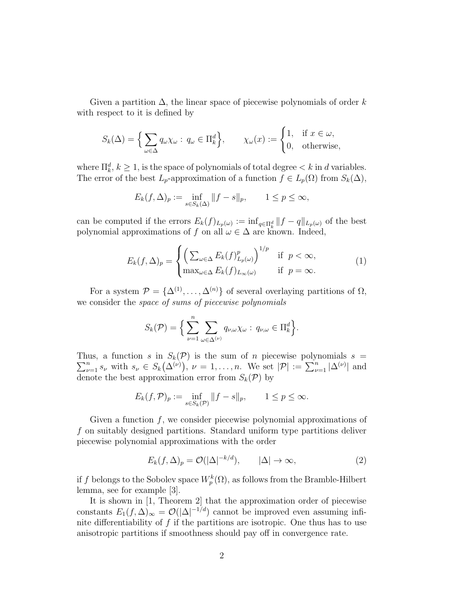Given a partition  $\Delta$ , the linear space of piecewise polynomials of order k with respect to it is defined by

$$
S_k(\Delta) = \Big\{ \sum_{\omega \in \Delta} q_{\omega} \chi_{\omega} : q_{\omega} \in \Pi_k^d \Big\}, \qquad \chi_{\omega}(x) := \begin{cases} 1, & \text{if } x \in \omega, \\ 0, & \text{otherwise,} \end{cases}
$$

where  $\prod_k^d$ ,  $k \geq 1$ , is the space of polynomials of total degree  $\lt k$  in d variables. The error of the best  $L_p$ -approximation of a function  $f \in L_p(\Omega)$  from  $S_k(\Delta)$ ,

$$
E_k(f,\Delta)_p := \inf_{s \in S_k(\Delta)} \|f - s\|_p, \qquad 1 \le p \le \infty,
$$

can be computed if the errors  $E_k(f)_{L_p(\omega)} := \inf_{q \in \Pi_k^d} ||f - q||_{L_p(\omega)}$  of the best polynomial approximations of f on all  $\omega \in \Delta$  are known. Indeed,

$$
E_k(f,\Delta)_p = \begin{cases} \left(\sum_{\omega \in \Delta} E_k(f)_{L_p(\omega)}^p\right)^{1/p} & \text{if } p < \infty, \\ \max_{\omega \in \Delta} E_k(f)_{L_\infty(\omega)} & \text{if } p = \infty. \end{cases}
$$
(1)

For a system  $\mathcal{P} = {\Delta^{(1)}, \ldots, \Delta^{(n)}}$  of several overlaying partitions of  $\Omega$ , we consider the space of sums of piecewise polynomials

$$
S_k(\mathcal{P}) = \Big\{\sum_{\nu=1}^n \sum_{\omega \in \Delta^{(\nu)}} q_{\nu,\omega} \chi_{\omega} : q_{\nu,\omega} \in \Pi_k^d\Big\}.
$$

Thus, a function  $s$  in  $S_k(\mathcal{P})$  is the sum of *n* piecewise polynomials  $s = \sum_{k=1}^{\infty} s_k(s)$  $\sum_{\nu=1}^n s_{\nu}$  with  $s_{\nu} \in S_k(\Delta^{(\nu)})$ ,  $\nu = 1, \ldots, n$ . We set  $|\mathcal{P}| := \sum_{\nu=1}^n |\Delta^{(\nu)}|$  and denote the best approximation error from  $S_k(\mathcal{P})$  by

$$
E_k(f,\mathcal{P})_p := \inf_{s \in S_k(\mathcal{P})} \|f - s\|_p, \qquad 1 \le p \le \infty.
$$

Given a function  $f$ , we consider piecewise polynomial approximations of f on suitably designed partitions. Standard uniform type partitions deliver piecewise polynomial approximations with the order

$$
E_k(f,\Delta)_p = \mathcal{O}(|\Delta|^{-k/d}), \qquad |\Delta| \to \infty,
$$
 (2)

if f belongs to the Sobolev space  $W_p^k(\Omega)$ , as follows from the Bramble-Hilbert lemma, see for example [3].

It is shown in [1, Theorem 2] that the approximation order of piecewise constants  $E_1(f, \Delta)_{\infty} = \mathcal{O}(|\Delta|^{-1/d})$  cannot be improved even assuming infinite differentiability of  $f$  if the partitions are isotropic. One thus has to use anisotropic partitions if smoothness should pay off in convergence rate.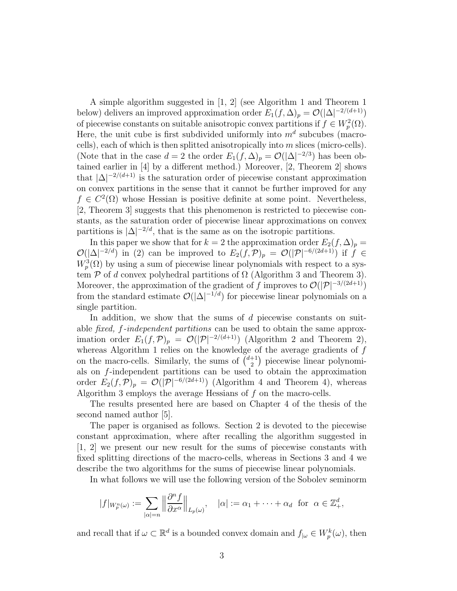A simple algorithm suggested in [1, 2] (see Algorithm 1 and Theorem 1 below) delivers an improved approximation order  $E_1(f, \Delta)_p = \mathcal{O}(|\Delta|^{-2/(d+1)})$ of piecewise constants on suitable anisotropic convex partitions if  $f \in W_p^2(\Omega)$ . Here, the unit cube is first subdivided uniformly into  $m<sup>d</sup>$  subcubes (macrocells), each of which is then splitted anisotropically into m slices (micro-cells). (Note that in the case  $d = 2$  the order  $E_1(f, \Delta)_p = \mathcal{O}(|\Delta|^{-2/3})$  has been obtained earlier in [4] by a different method.) Moreover, [2, Theorem 2] shows that  $|\Delta|^{-2/(d+1)}$  is the saturation order of piecewise constant approximation on convex partitions in the sense that it cannot be further improved for any  $f \in C^2(\Omega)$  whose Hessian is positive definite at some point. Nevertheless, [2, Theorem 3] suggests that this phenomenon is restricted to piecewise constants, as the saturation order of piecewise linear approximations on convex partitions is  $|\Delta|^{-2/d}$ , that is the same as on the isotropic partitions.

In this paper we show that for  $k = 2$  the approximation order  $E_2(f, \Delta)_p =$  $\mathcal{O}(|\Delta|^{-2/d})$  in (2) can be improved to  $E_2(f,\mathcal{P})_p = \mathcal{O}(|\mathcal{P}|^{-6/(2d+1)})$  if  $f \in$  $W_p^3(\Omega)$  by using a sum of piecewise linear polynomials with respect to a system  $\mathcal P$  of d convex polyhedral partitions of  $\Omega$  (Algorithm 3 and Theorem 3). Moreover, the approximation of the gradient of f improves to  $\mathcal{O}(|\mathcal{P}|^{-3/(2d+1)})$ from the standard estimate  $\mathcal{O}(|\Delta|^{-1/d})$  for piecewise linear polynomials on a single partition.

In addition, we show that the sums of d piecewise constants on suitable *fixed, f-independent partitions* can be used to obtain the same approximation order  $E_1(f, \mathcal{P})_p = \mathcal{O}(|\mathcal{P}|^{-2/(d+1)})$  (Algorithm 2 and Theorem 2), whereas Algorithm 1 relies on the knowledge of the average gradients of  $f$ on the macro-cells. Similarly, the sums of  $\binom{d+1}{2}$ <sup>+1</sup>) piecewise linear polynomials on  $f$ -independent partitions can be used to obtain the approximation order  $E_2(f,\mathcal{P})_p = \mathcal{O}(|\mathcal{P}|^{-6/(2d+1)})$  (Algorithm 4 and Theorem 4), whereas Algorithm 3 employs the average Hessians of  $f$  on the macro-cells.

The results presented here are based on Chapter 4 of the thesis of the second named author [5].

The paper is organised as follows. Section 2 is devoted to the piecewise constant approximation, where after recalling the algorithm suggested in [1, 2] we present our new result for the sums of piecewise constants with fixed splitting directions of the macro-cells, whereas in Sections 3 and 4 we describe the two algorithms for the sums of piecewise linear polynomials.

In what follows we will use the following version of the Sobolev seminorm

$$
|f|_{W_p^n(\omega)} := \sum_{|\alpha|=n} \left\| \frac{\partial^n f}{\partial x^{\alpha}} \right\|_{L_p(\omega)}, \quad |\alpha| := \alpha_1 + \dots + \alpha_d \text{ for } \alpha \in \mathbb{Z}_+^d,
$$

and recall that if  $\omega \subset \mathbb{R}^d$  is a bounded convex domain and  $f_{|\omega} \in W_p^k(\omega)$ , then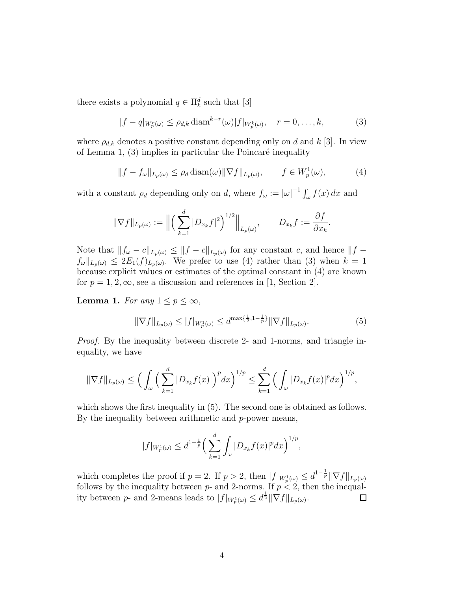there exists a polynomial  $q \in \Pi_k^d$  such that [3]

$$
|f - q|_{W_p^r(\omega)} \le \rho_{d,k} \operatorname{diam}^{k-r}(\omega)|f|_{W_p^k(\omega)}, \quad r = 0, \dots, k,
$$
 (3)

where  $\rho_{d,k}$  denotes a positive constant depending only on d and k [3]. In view of Lemma 1,  $(3)$  implies in particular the Poincaré inequality

$$
||f - f_{\omega}||_{L_p(\omega)} \le \rho_d \operatorname{diam}(\omega) ||\nabla f||_{L_p(\omega)}, \qquad f \in W_p^1(\omega), \tag{4}
$$

.

with a constant  $\rho_d$  depending only on d, where  $f_\omega := |\omega|^{-1} \int_\omega f(x) dx$  and

$$
\|\nabla f\|_{L_p(\omega)} := \Big\|\Big(\sum_{k=1}^d |D_{x_k}f|^2\Big)^{1/2}\Big\|_{L_p(\omega)}, \qquad D_{x_k}f := \frac{\partial f}{\partial x_k}
$$

Note that  $||f_{\omega} - c||_{L_p(\omega)} \le ||f - c||_{L_p(\omega)}$  for any constant c, and hence  $||f - c||_{L_p(\omega)}$  $f_{\omega}||_{L_p(\omega)} \leq 2E_1(f)_{L_p(\omega)}$ . We prefer to use (4) rather than (3) when  $k=1$ because explicit values or estimates of the optimal constant in (4) are known for  $p = 1, 2, \infty$ , see a discussion and references in [1, Section 2].

**Lemma 1.** For any  $1 \leq p \leq \infty$ ,

$$
\|\nabla f\|_{L_p(\omega)} \le |f|_{W_p^1(\omega)} \le d^{\max\{\frac{1}{2}, 1 - \frac{1}{p}\}} \|\nabla f\|_{L_p(\omega)}.
$$
 (5)

Proof. By the inequality between discrete 2- and 1-norms, and triangle inequality, we have

$$
\|\nabla f\|_{L_p(\omega)} \le \Big(\int_{\omega} \Big(\sum_{k=1}^d |D_{x_k}f(x)|\Big)^p dx\Big)^{1/p} \le \sum_{k=1}^d \Big(\int_{\omega} |D_{x_k}f(x)|^p dx\Big)^{1/p},
$$

which shows the first inequality in (5). The second one is obtained as follows. By the inequality between arithmetic and  $p$ -power means,

$$
|f|_{W_p^1(\omega)} \le d^{1-\frac{1}{p}} \Big( \sum_{k=1}^d \int_{\omega} |D_{x_k} f(x)|^p dx \Big)^{1/p},
$$

which completes the proof if  $p = 2$ . If  $p > 2$ , then  $|f|_{W_p^1(\omega)} \leq d^{1-\frac{1}{p}} \|\nabla f\|_{L_p(\omega)}$ follows by the inequality between  $p$ - and 2-norms. If  $p < 2$ , then the inequality between *p*- and 2-means leads to  $|f|_{W_p^1(\omega)} \leq d^{\frac{1}{2}} \|\nabla f\|_{L_p(\omega)}$ .  $\Box$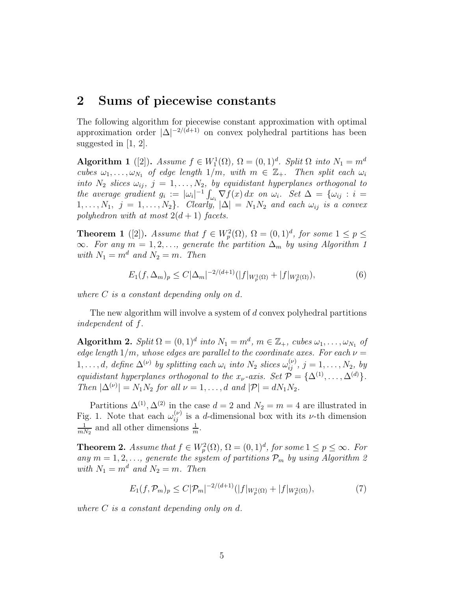# 2 Sums of piecewise constants

The following algorithm for piecewise constant approximation with optimal approximation order  $|\Delta|^{-2/(d+1)}$  on convex polyhedral partitions has been suggested in [1, 2].

Algorithm 1 ([2]). Assume  $f \in W_1^1(\Omega)$ ,  $\Omega = (0, 1)^d$ . Split  $\Omega$  into  $N_1 = m^d$ cubes  $\omega_1, \ldots, \omega_{N_1}$  of edge length  $1/m$ , with  $m \in \mathbb{Z}_+$ . Then split each  $\omega_i$ into  $N_2$  slices  $\omega_{ij}$ ,  $j = 1, \ldots, N_2$ , by equidistant hyperplanes orthogonal to the average gradient  $g_i := |\omega_i|^{-1} \int_{\omega_i} \nabla f(x) dx$  on  $\omega_i$ . Set  $\Delta = {\omega_{ij} : i =$  $1, \ldots, N_1, j = 1, \ldots, N_2$ . Clearly,  $|\Delta| = N_1 N_2$  and each  $\omega_{ij}$  is a convex polyhedron with at most  $2(d+1)$  facets.

**Theorem 1** ([2]). Assume that  $f \in W_p^2(\Omega)$ ,  $\Omega = (0,1)^d$ , for some  $1 \le p \le$  $\infty$ . For any  $m = 1, 2, \ldots$ , generate the partition  $\Delta_m$  by using Algorithm 1 with  $N_1 = m^d$  and  $N_2 = m$ . Then

$$
E_1(f, \Delta_m)_p \le C|\Delta_m|^{-2/(d+1)} (|f|_{W_p^1(\Omega)} + |f|_{W_p^2(\Omega)}),\tag{6}
$$

where  $C$  is a constant depending only on  $d$ .

The new algorithm will involve a system of d convex polyhedral partitions independent of f.

Algorithm 2. Split  $\Omega = (0, 1)^d$  into  $N_1 = m^d$ ,  $m \in \mathbb{Z}_+$ , cubes  $\omega_1, \ldots, \omega_{N_1}$  of edge length  $1/m$ , whose edges are parallel to the coordinate axes. For each  $\nu =$  $1, \ldots, d$ , define  $\Delta^{(\nu)}$  by splitting each  $\omega_i$  into  $N_2$  slices  $\omega_{ij}^{(\nu)}$ ,  $j = 1, \ldots, N_2$ , by equidistant hyperplanes orthogonal to the  $x_{\nu}$ -axis. Set  $\mathcal{P} = {\{\Delta^{(1)}, \ldots, \Delta^{(d)}\}}$ . Then  $|\Delta^{(\nu)}| = N_1 N_2$  for all  $\nu = 1, ..., d$  and  $|\mathcal{P}| = dN_1 N_2$ .

Partitions  $\Delta^{(1)}$ ,  $\Delta^{(2)}$  in the case  $d=2$  and  $N_2=m=4$  are illustrated in Fig. 1. Note that each  $\omega_{ij}^{(\nu)}$  is a d-dimensional box with its  $\nu$ -th dimension 1  $\frac{1}{mN_2}$  and all other dimensions  $\frac{1}{m}$ .

**Theorem 2.** Assume that  $f \in W_p^2(\Omega)$ ,  $\Omega = (0, 1)^d$ , for some  $1 \le p \le \infty$ . For any  $m = 1, 2, \ldots$ , generate the system of partitions  $\mathcal{P}_m$  by using Algorithm 2 with  $N_1 = m^d$  and  $N_2 = m$ . Then

$$
E_1(f, \mathcal{P}_m)_p \le C|\mathcal{P}_m|^{-2/(d+1)} (|f|_{W_p^1(\Omega)} + |f|_{W_p^2(\Omega)}),\tag{7}
$$

where C is a constant depending only on d.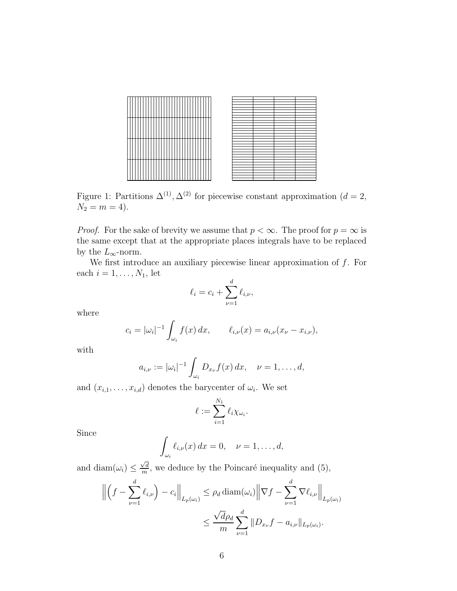

Figure 1: Partitions  $\Delta^{(1)}$ ,  $\Delta^{(2)}$  for piecewise constant approximation  $(d=2,$  $N_2 = m = 4$ .

*Proof.* For the sake of brevity we assume that  $p < \infty$ . The proof for  $p = \infty$  is the same except that at the appropriate places integrals have to be replaced by the  $L_{\infty}$ -norm.

We first introduce an auxiliary piecewise linear approximation of  $f$ . For each  $i = 1, \ldots, N_1$ , let

$$
\ell_i = c_i + \sum_{\nu=1}^d \ell_{i,\nu},
$$

where

$$
c_i = |\omega_i|^{-1} \int_{\omega_i} f(x) \, dx, \qquad \ell_{i,\nu}(x) = a_{i,\nu}(x_{\nu} - x_{i,\nu}),
$$

with

$$
a_{i,\nu} := |\omega_i|^{-1} \int_{\omega_i} D_{x_{\nu}} f(x) dx, \quad \nu = 1, \ldots, d,
$$

and  $(x_{i,1},\ldots,x_{i,d})$  denotes the barycenter of  $\omega_i$ . We set

$$
\ell := \sum_{i=1}^{N_1} \ell_i \chi_{\omega_i}.
$$

Since

$$
\int_{\omega_i} \ell_{i,\nu}(x) dx = 0, \quad \nu = 1, \dots, d,
$$

and diam $(\omega_i) \leq \frac{\sqrt{d}}{m}$  $\frac{\sqrt{d}}{m}$ , we deduce by the Poincaré inequality and (5),

$$
\left\| \left( f - \sum_{\nu=1}^d \ell_{i,\nu} \right) - c_i \right\|_{L_p(\omega_i)} \le \rho_d \operatorname{diam}(\omega_i) \left\| \nabla f - \sum_{\nu=1}^d \nabla \ell_{i,\nu} \right\|_{L_p(\omega_i)}
$$
  

$$
\le \frac{\sqrt{d} \rho_d}{m} \sum_{\nu=1}^d \| D_{x_{\nu}} f - a_{i,\nu} \|_{L_p(\omega_i)}.
$$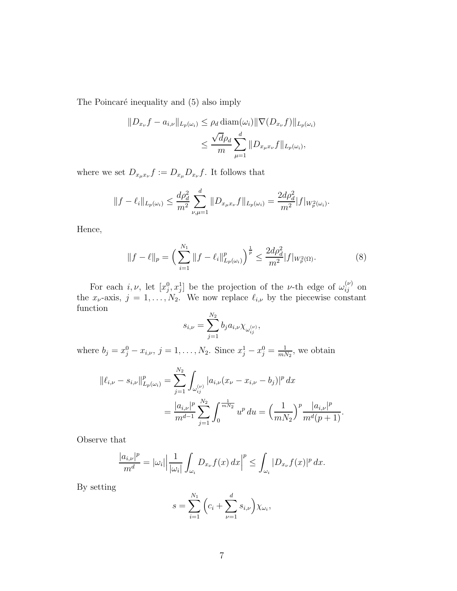The Poincaré inequality and (5) also imply

$$
||D_{x_{\nu}}f - a_{i,\nu}||_{L_p(\omega_i)} \le \rho_d \operatorname{diam}(\omega_i) ||\nabla(D_{x_{\nu}}f)||_{L_p(\omega_i)}
$$
  

$$
\le \frac{\sqrt{d}\rho_d}{m} \sum_{\mu=1}^d ||D_{x_{\mu}x_{\nu}}f||_{L_p(\omega_i)},
$$

where we set  $D_{x_\mu x_\nu} f := D_{x_\mu} D_{x_\nu} f$ . It follows that

$$
||f - \ell_i||_{L_p(\omega_i)} \le \frac{d\rho_d^2}{m^2} \sum_{\nu,\mu=1}^d ||D_{x_\mu x_\nu} f||_{L_p(\omega_i)} = \frac{2d\rho_d^2}{m^2} |f|_{W_p^2(\omega_i)}.
$$

Hence,

$$
||f - \ell||_p = \left(\sum_{i=1}^{N_1} ||f - \ell_i||_{L_p(\omega_i)}^p\right)^{\frac{1}{p}} \le \frac{2d\rho_d^2}{m^2} |f|_{W_p^2(\Omega)}.
$$
 (8)

For each  $i, \nu$ , let  $[x_j^0, x_j^1]$  be the projection of the *v*-th edge of  $\omega_{ij}^{(\nu)}$  on the  $x_{\nu}$ -axis,  $j = 1, ..., N_2$ . We now replace  $\ell_{i,\nu}$  by the piecewise constant function  $\overline{N_c}$ 

$$
s_{i,\nu} = \sum_{j=1}^{N_2} b_j a_{i,\nu} \chi_{\omega_{ij}^{(\nu)}},
$$

where  $b_j = x_j^0 - x_{i,\nu}, j = 1, ..., N_2$ . Since  $x_j^1 - x_j^0 = \frac{1}{m!}$  $\frac{1}{mN_2}$ , we obtain

$$
\begin{aligned} \|\ell_{i,\nu} - s_{i,\nu}\|_{L_p(\omega_i)}^p &= \sum_{j=1}^{N_2} \int_{\omega_{ij}^{(\nu)}} |a_{i,\nu}(x_\nu - x_{i,\nu} - b_j)|^p \, dx \\ &= \frac{|a_{i,\nu}|^p}{m^{d-1}} \sum_{j=1}^{N_2} \int_0^{\frac{1}{mN_2}} u^p \, du = \left(\frac{1}{mN_2}\right)^p \frac{|a_{i,\nu}|^p}{m^d(p+1)}. \end{aligned}
$$

Observe that

$$
\frac{|a_{i,\nu}|^p}{m^d} = |\omega_i| \left| \frac{1}{|\omega_i|} \int_{\omega_i} D_{x_{\nu}} f(x) \, dx \right|^p \le \int_{\omega_i} |D_{x_{\nu}} f(x)|^p \, dx.
$$

By setting

$$
s = \sum_{i=1}^{N_1} \left( c_i + \sum_{\nu=1}^d s_{i,\nu} \right) \chi_{\omega_i},
$$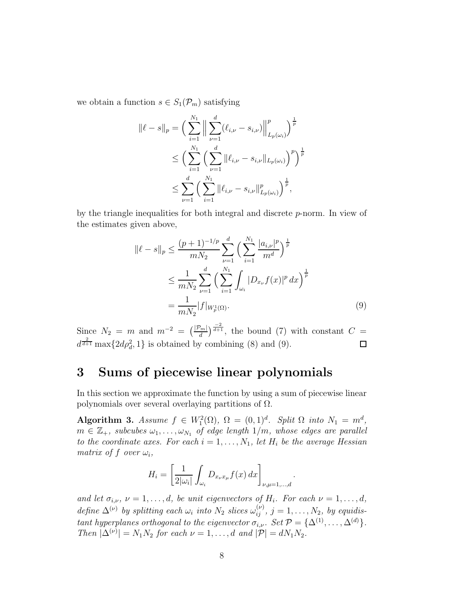we obtain a function  $s \in S_1(\mathcal{P}_m)$  satisfying

$$
\|\ell - s\|_{p} = \left(\sum_{i=1}^{N_{1}} \Big\|\sum_{\nu=1}^{d} (\ell_{i,\nu} - s_{i,\nu})\Big\|_{L_{p}(\omega_{i})}^{p}\right)^{\frac{1}{p}} \n\leq \left(\sum_{i=1}^{N_{1}} \Big(\sum_{\nu=1}^{d} \|\ell_{i,\nu} - s_{i,\nu}\|_{L_{p}(\omega_{i})}\Big)^{p}\right)^{\frac{1}{p}} \n\leq \sum_{\nu=1}^{d} \Big(\sum_{i=1}^{N_{1}} \|\ell_{i,\nu} - s_{i,\nu}\|_{L_{p}(\omega_{i})}^{p}\Big)^{\frac{1}{p}},
$$

by the triangle inequalities for both integral and discrete p-norm. In view of the estimates given above,

$$
\|\ell - s\|_{p} \le \frac{(p+1)^{-1/p}}{mN_2} \sum_{\nu=1}^{d} \Big( \sum_{i=1}^{N_1} \frac{|a_{i,\nu}|^p}{m^d} \Big)^{\frac{1}{p}} \n\le \frac{1}{mN_2} \sum_{\nu=1}^{d} \Big( \sum_{i=1}^{N_1} \int_{\omega_i} |D_{x_{\nu}} f(x)|^p dx \Big)^{\frac{1}{p}} \n= \frac{1}{mN_2} |f|_{W_p^1(\Omega)}.
$$
\n(9)

Since  $N_2 = m$  and  $m^{-2} = \left(\frac{|\mathcal{P}_m|}{d}\right)^{\frac{-2}{d+1}}$ , the bound (7) with constant  $C =$  $d^{\frac{2}{d+1}}\max\{2d\rho_d^2, 1\}$  is obtained by combining (8) and (9).  $\Box$ 

# 3 Sums of piecewise linear polynomials

In this section we approximate the function by using a sum of piecewise linear polynomials over several overlaying partitions of  $\Omega$ .

Algorithm 3. Assume  $f \in W_1^2(\Omega)$ ,  $\Omega = (0,1)^d$ . Split  $\Omega$  into  $N_1 = m^d$ ,  $m \in \mathbb{Z}_+$ , subcubes  $\omega_1, \ldots, \omega_{N_1}$  of edge length  $1/m$ , whose edges are parallel to the coordinate axes. For each  $i = 1, \ldots, N_1$ , let  $H_i$  be the average Hessian matrix of f over  $\omega_i$ ,

$$
H_i = \left[\frac{1}{2|\omega_i|} \int_{\omega_i} D_{x_{\nu}x_{\mu}} f(x) dx\right]_{\nu, \mu=1,\dots,d}
$$

.

and let  $\sigma_{i,\nu}$ ,  $\nu = 1, \ldots, d$ , be unit eigenvectors of  $H_i$ . For each  $\nu = 1, \ldots, d$ , define  $\Delta^{(\nu)}$  by splitting each  $\omega_i$  into  $N_2$  slices  $\omega_{ij}^{(\nu)}$ ,  $j = 1, \ldots, N_2$ , by equidistant hyperplanes orthogonal to the eigenvector  $\sigma_{i,\nu}$ . Set  $\mathcal{P} = {\{\Delta^{(1)}, \dots, \Delta^{(d)}\}}$ . Then  $|\Delta^{(\nu)}| = N_1 N_2$  for each  $\nu = 1, ..., d$  and  $|\mathcal{P}| = dN_1 N_2$ .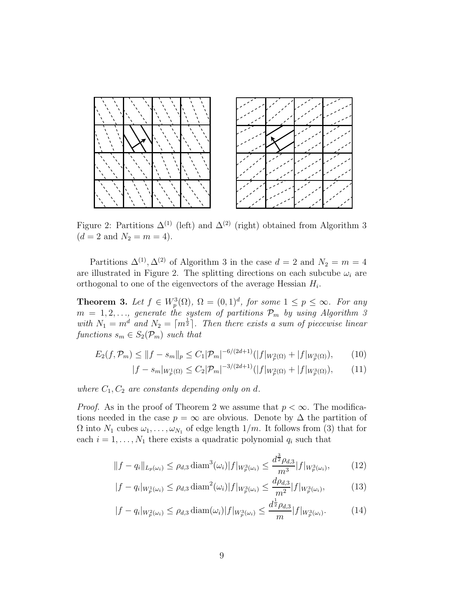

Figure 2: Partitions  $\Delta^{(1)}$  (left) and  $\Delta^{(2)}$  (right) obtained from Algorithm 3  $(d = 2 \text{ and } N_2 = m = 4).$ 

Partitions  $\Delta^{(1)}$ ,  $\Delta^{(2)}$  of Algorithm 3 in the case  $d=2$  and  $N_2=m=4$ are illustrated in Figure 2. The splitting directions on each subcube  $\omega_i$  are orthogonal to one of the eigenvectors of the average Hessian  $H_i$ .

**Theorem 3.** Let  $f \in W_p^3(\Omega)$ ,  $\Omega = (0, 1)^d$ , for some  $1 \leq p \leq \infty$ . For any  $m = 1, 2, \ldots,$  generate the system of partitions  $\mathcal{P}_m$  by using Algorithm 3 with  $N_1 = m^d$  and  $N_2 = \lceil m^{\frac{1}{2}} \rceil$ . Then there exists a sum of piecewise linear functions  $s_m \in S_2(\mathcal{P}_m)$  such that

$$
E_2(f, \mathcal{P}_m) \le ||f - s_m||_p \le C_1 |\mathcal{P}_m|^{-6/(2d+1)} (|f|_{W_p^2(\Omega)} + |f|_{W_p^3(\Omega)}), \tag{10}
$$

$$
|f - s_m|_{W_p^1(\Omega)} \le C_2 |\mathcal{P}_m|^{-3/(2d+1)} (|f|_{W_p^2(\Omega)} + |f|_{W_p^3(\Omega)}), \tag{11}
$$

where  $C_1, C_2$  are constants depending only on d.

*Proof.* As in the proof of Theorem 2 we assume that  $p < \infty$ . The modifications needed in the case  $p = \infty$  are obvious. Denote by  $\Delta$  the partition of  $\Omega$  into  $N_1$  cubes  $\omega_1, \ldots, \omega_{N_1}$  of edge length  $1/m$ . It follows from (3) that for each  $i = 1, \ldots, N_1$  there exists a quadratic polynomial  $q_i$  such that

$$
||f - q_i||_{L_p(\omega_i)} \le \rho_{d,3} \operatorname{diam}^3(\omega_i) |f|_{W_p^3(\omega_i)} \le \frac{d^{\frac{3}{2}} \rho_{d,3}}{m^3} |f|_{W_p^3(\omega_i)},\tag{12}
$$

 $\overline{3}$ 

$$
|f - q_i|_{W_p^1(\omega_i)} \le \rho_{d,3} \operatorname{diam}^2(\omega_i) |f|_{W_p^3(\omega_i)} \le \frac{d\rho_{d,3}}{m^2} |f|_{W_p^3(\omega_i)},\tag{13}
$$

$$
|f - q_i|_{W_p^2(\omega_i)} \le \rho_{d,3} \operatorname{diam}(\omega_i) |f|_{W_p^3(\omega_i)} \le \frac{d^{\frac{1}{2}} \rho_{d,3}}{m} |f|_{W_p^3(\omega_i)}.\tag{14}
$$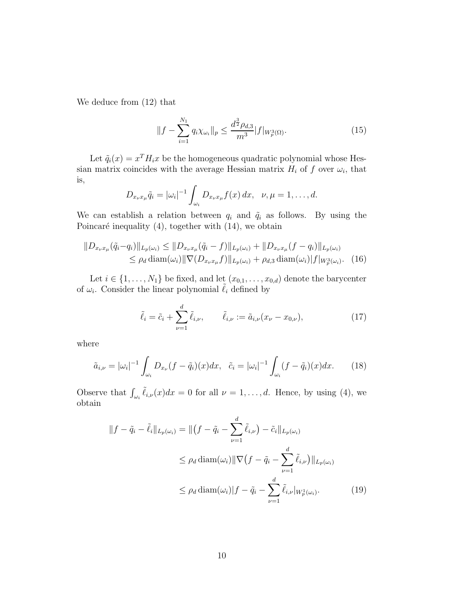We deduce from (12) that

$$
||f - \sum_{i=1}^{N_1} q_i \chi_{\omega_i}||_p \le \frac{d^{\frac{3}{2}} \rho_{d,3}}{m^3} |f|_{W_p^3(\Omega)}.
$$
 (15)

Let  $\tilde{q}_i(x) = x^T H_i x$  be the homogeneous quadratic polynomial whose Hessian matrix coincides with the average Hessian matrix  $H_i$  of f over  $\omega_i$ , that is,

$$
D_{x_{\nu}x_{\mu}}\tilde{q}_i=|\omega_i|^{-1}\int_{\omega_i}D_{x_{\nu}x_{\mu}}f(x)\,dx,\ \ \nu,\mu=1,\ldots,d.
$$

We can establish a relation between  $q_i$  and  $\tilde{q}_i$  as follows. By using the Poincaré inequality  $(4)$ , together with  $(14)$ , we obtain

$$
||D_{x_{\nu}x_{\mu}}(\tilde{q}_i - q_i)||_{L_p(\omega_i)} \le ||D_{x_{\nu}x_{\mu}}(\tilde{q}_i - f)||_{L_p(\omega_i)} + ||D_{x_{\nu}x_{\mu}}(f - q_i)||_{L_p(\omega_i)}
$$
  
\n
$$
\le \rho_d \operatorname{diam}(\omega_i) ||\nabla(D_{x_{\nu}x_{\mu}}f)||_{L_p(\omega_i)} + \rho_{d,3} \operatorname{diam}(\omega_i) ||f||_{W_p^3(\omega_i)}.
$$
 (16)

Let  $i \in \{1, \ldots, N_1\}$  be fixed, and let  $(x_{0,1}, \ldots, x_{0,d})$  denote the barycenter of  $\omega_i$ . Consider the linear polynomial  $\tilde{\ell}_i$  defined by

$$
\tilde{\ell}_i = \tilde{c}_i + \sum_{\nu=1}^d \tilde{\ell}_{i,\nu}, \qquad \tilde{\ell}_{i,\nu} := \tilde{a}_{i,\nu}(x_{\nu} - x_{0,\nu}), \qquad (17)
$$

where

$$
\tilde{a}_{i,\nu} = |\omega_i|^{-1} \int_{\omega_i} D_{x_{\nu}} (f - \tilde{q}_i)(x) dx, \quad \tilde{c}_i = |\omega_i|^{-1} \int_{\omega_i} (f - \tilde{q}_i)(x) dx. \tag{18}
$$

Observe that  $\int_{\omega_i} \tilde{\ell}_{i,\nu}(x) dx = 0$  for all  $\nu = 1, \ldots, d$ . Hence, by using (4), we obtain

$$
||f - \tilde{q}_i - \tilde{\ell}_i||_{L_p(\omega_i)} = ||(f - \tilde{q}_i - \sum_{\nu=1}^d \tilde{\ell}_{i,\nu}) - \tilde{c}_i||_{L_p(\omega_i)}
$$
  

$$
\leq \rho_d \operatorname{diam}(\omega_i) || \nabla (f - \tilde{q}_i - \sum_{\nu=1}^d \tilde{\ell}_{i,\nu}) ||_{L_p(\omega_i)}
$$
  

$$
\leq \rho_d \operatorname{diam}(\omega_i) ||f - \tilde{q}_i - \sum_{\nu=1}^d \tilde{\ell}_{i,\nu} ||_{W_p^1(\omega_i)}.
$$
 (19)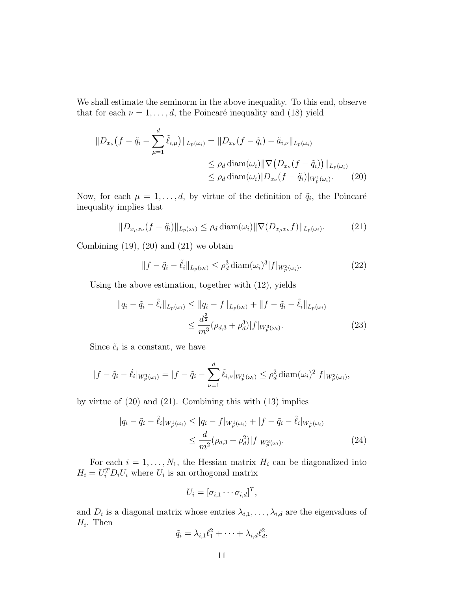We shall estimate the seminorm in the above inequality. To this end, observe that for each  $\nu = 1, \ldots, d$ , the Poincaré inequality and (18) yield

$$
||D_{x_{\nu}}(f - \tilde{q}_{i} - \sum_{\mu=1}^{d} \tilde{\ell}_{i,\mu})||_{L_{p}(\omega_{i})} = ||D_{x_{\nu}}(f - \tilde{q}_{i}) - \tilde{a}_{i,\nu}||_{L_{p}(\omega_{i})}
$$
  
\n
$$
\leq \rho_{d} \operatorname{diam}(\omega_{i}) || \nabla (D_{x_{\nu}}(f - \tilde{q}_{i})) ||_{L_{p}(\omega_{i})}
$$
  
\n
$$
\leq \rho_{d} \operatorname{diam}(\omega_{i}) || D_{x_{\nu}}(f - \tilde{q}_{i}) ||_{W_{p}^{1}(\omega_{i})}.
$$
 (20)

Now, for each  $\mu = 1, \ldots, d$ , by virtue of the definition of  $\tilde{q}_i$ , the Poincaré inequality implies that

$$
||D_{x_{\mu}x_{\nu}}(f-\tilde{q}_i)||_{L_p(\omega_i)} \leq \rho_d \operatorname{diam}(\omega_i) ||\nabla(D_{x_{\mu}x_{\nu}}f)||_{L_p(\omega_i)}.
$$
 (21)

Combining  $(19)$ ,  $(20)$  and  $(21)$  we obtain

$$
||f - \tilde{q}_i - \tilde{\ell}_i||_{L_p(\omega_i)} \le \rho_d^3 \operatorname{diam}(\omega_i)^3 |f|_{W_p^3(\omega_i)}.
$$
\n(22)

Using the above estimation, together with (12), yields

$$
||q_i - \tilde{q}_i - \tilde{\ell}_i||_{L_p(\omega_i)} \le ||q_i - f||_{L_p(\omega_i)} + ||f - \tilde{q}_i - \tilde{\ell}_i||_{L_p(\omega_i)}
$$
  

$$
\le \frac{d^{\frac{3}{2}}}{m^3} (\rho_{d,3} + \rho_d^3) |f|_{W_p^3(\omega_i)}.
$$
 (23)

Since  $\tilde{c}_i$  is a constant, we have

$$
|f - \tilde{q}_i - \tilde{\ell}_i|_{W_p^1(\omega_i)} = |f - \tilde{q}_i - \sum_{\nu=1}^d \tilde{\ell}_{i,\nu}|_{W_p^1(\omega_i)} \le \rho_d^2 \operatorname{diam}(\omega_i)^2 |f|_{W_p^3(\omega_i)},
$$

by virtue of (20) and (21). Combining this with (13) implies

$$
|q_i - \tilde{q}_i - \tilde{\ell}_i|_{W_p^1(\omega_i)} \le |q_i - f|_{W_p^1(\omega_i)} + |f - \tilde{q}_i - \tilde{\ell}_i|_{W_p^1(\omega_i)} \le \frac{d}{m^2} (\rho_{d,3} + \rho_d^2) |f|_{W_p^3(\omega_i)}.
$$
\n(24)

For each  $i = 1, ..., N_1$ , the Hessian matrix  $H_i$  can be diagonalized into  $H_i = U_i^T D_i U_i$  where  $U_i$  is an orthogonal matrix

$$
U_i = [\sigma_{i,1} \cdots \sigma_{i,d}]^T,
$$

and  $D_i$  is a diagonal matrix whose entries  $\lambda_{i,1}, \ldots, \lambda_{i,d}$  are the eigenvalues of  $H_i$ . Then

$$
\tilde{q}_i = \lambda_{i,1} \ell_1^2 + \cdots + \lambda_{i,d} \ell_d^2,
$$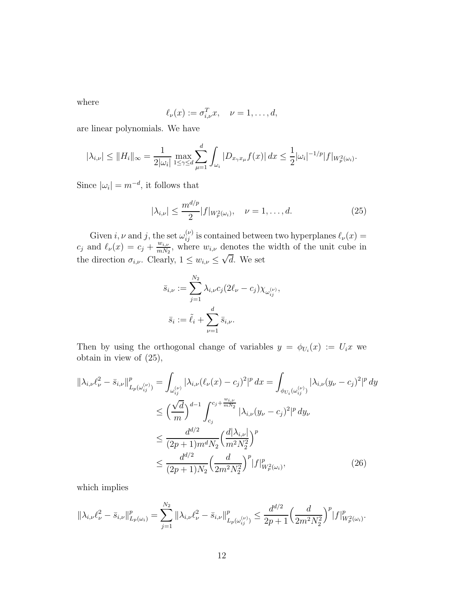where

$$
\ell_{\nu}(x) := \sigma_{i,\nu}^T x, \quad \nu = 1, \dots, d,
$$

are linear polynomials. We have

$$
|\lambda_{i,\nu}| \le ||H_i||_{\infty} = \frac{1}{2|\omega_i|} \max_{1 \le \gamma \le d} \sum_{\mu=1}^d \int_{\omega_i} |D_{x_{\gamma}x_{\mu}}f(x)| dx \le \frac{1}{2} |\omega_i|^{-1/p} |f|_{W_p^2(\omega_i)}.
$$

Since  $|\omega_i| = m^{-d}$ , it follows that

$$
|\lambda_{i,\nu}| \le \frac{m^{d/p}}{2} |f|_{W_p^2(\omega_i)}, \quad \nu = 1, \dots, d. \tag{25}
$$

Given i,  $\nu$  and j, the set  $\omega_{ij}^{(\nu)}$  is contained between two hyperplanes  $\ell_{\nu}(x)$  =  $c_j$  and  $\ell_{\nu}(x) = c_j + \frac{w_{i,\nu}}{m N_c}$  $\frac{w_{i,\nu}}{mN_2}$ , where  $w_{i,\nu}$  denotes the width of the unit cube in the direction  $\sigma_{i,\nu}$ . Clearly,  $1 \leq w_{i,\nu} \leq \sqrt{d}$ . We set

$$
\bar{s}_{i,\nu} := \sum_{j=1}^{N_2} \lambda_{i,\nu} c_j (2\ell_{\nu} - c_j) \chi_{\omega_{ij}^{(\nu)}},
$$
  

$$
\bar{s}_i := \tilde{\ell}_i + \sum_{\nu=1}^d \bar{s}_{i,\nu}.
$$

Then by using the orthogonal change of variables  $y = \phi_{U_i}(x) := U_i x$  we obtain in view of (25),

$$
\|\lambda_{i,\nu}\ell_{\nu}^{2} - \bar{s}_{i,\nu}\|_{L_{p}(\omega_{ij}^{(\nu)})}^{p} = \int_{\omega_{ij}^{(\nu)}} |\lambda_{i,\nu}(\ell_{\nu}(x) - c_{j})^{2}|^{p} dx = \int_{\phi_{U_{i}}(\omega_{ij}^{(\nu)})} |\lambda_{i,\nu}(y_{\nu} - c_{j})^{2}|^{p} dy
$$
  
\n
$$
\leq \left(\frac{\sqrt{d}}{m}\right)^{d-1} \int_{c_{j}}^{c_{j} + \frac{w_{i,\nu}}{mN_{2}}} |\lambda_{i,\nu}(y_{\nu} - c_{j})^{2}|^{p} dy_{\nu}
$$
  
\n
$$
\leq \frac{d^{d/2}}{(2p+1)m^{d}N_{2}} \left(\frac{d|\lambda_{i,\nu}|}{m^{2}N_{2}^{2}}\right)^{p}
$$
  
\n
$$
\leq \frac{d^{d/2}}{(2p+1)N_{2}} \left(\frac{d}{2m^{2}N_{2}^{2}}\right)^{p} |f|_{W_{p}^{2}(\omega_{i})}^{p}, \tag{26}
$$

which implies

$$
\|\lambda_{i,\nu}\ell_{\nu}^2 - \bar{s}_{i,\nu}\|_{L_p(\omega_i)}^p = \sum_{j=1}^{N_2} \|\lambda_{i,\nu}\ell_{\nu}^2 - \bar{s}_{i,\nu}\|_{L_p(\omega_{ij}^{(\nu)})}^p \le \frac{d^{d/2}}{2p+1} \Big(\frac{d}{2m^2N_2^2}\Big)^p |f|_{W_p^2(\omega_i)}^p.
$$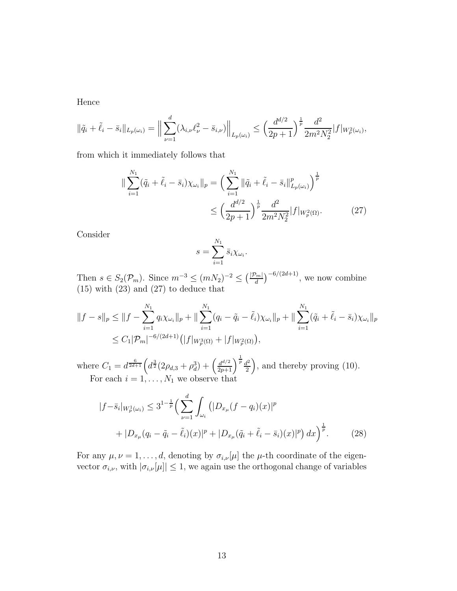Hence

$$
\|\tilde{q}_i + \tilde{\ell}_i - \bar{s}_i\|_{L_p(\omega_i)} = \Big\| \sum_{\nu=1}^d (\lambda_{i,\nu} \ell_{\nu}^2 - \bar{s}_{i,\nu}) \Big\|_{L_p(\omega_i)} \le \Big(\frac{d^{d/2}}{2p+1}\Big)^{\frac{1}{p}} \frac{d^2}{2m^2 N_2^2} |f|_{W_p^2(\omega_i)},
$$

from which it immediately follows that

$$
\|\sum_{i=1}^{N_1} (\tilde{q}_i + \tilde{\ell}_i - \bar{s}_i) \chi_{\omega_i}\|_p = \left(\sum_{i=1}^{N_1} \|\tilde{q}_i + \tilde{\ell}_i - \bar{s}_i\|_{L_p(\omega_i)}^p\right)^{\frac{1}{p}} \le \left(\frac{d^{d/2}}{2p+1}\right)^{\frac{1}{p}} \frac{d^2}{2m^2 N_2^2} |f|_{W_p^2(\Omega)}.
$$
 (27)

Consider

$$
s = \sum_{i=1}^{N_1} \bar{s}_i \chi_{\omega_i}.
$$

Then  $s \in S_2(\mathcal{P}_m)$ . Since  $m^{-3} \le (mN_2)^{-2} \le (\frac{|\mathcal{P}_m|}{d})^{-6/(2d+1)}$ , we now combine (15) with (23) and (27) to deduce that

$$
||f - s||_p \le ||f - \sum_{i=1}^{N_1} q_i \chi_{\omega_i}||_p + ||\sum_{i=1}^{N_1} (q_i - \tilde{q}_i - \tilde{\ell}_i) \chi_{\omega_i}||_p + ||\sum_{i=1}^{N_1} (\tilde{q}_i + \tilde{\ell}_i - \bar{s}_i) \chi_{\omega_i}||_p
$$
  

$$
\le C_1 |\mathcal{P}_m|^{-6/(2d+1)} \left( |f|_{W_p^3(\Omega)} + |f|_{W_p^2(\Omega)} \right),
$$

where  $C_1 = d^{\frac{6}{2d+1}} \Big( d^{\frac{3}{2}} (2\rho_{d,3} + \rho_d^3) + \Big(\frac{d^{d/2}}{2p+1}\Big)^{\frac{1}{p}} \frac{d^2}{2}$  $\frac{d^2}{2}$ , and thereby proving (10). For each  $i = 1, ..., N_1$  we observe that

$$
|f - \bar{s}_i|_{W_p^1(\omega_i)} \le 3^{1 - \frac{1}{p}} \Big( \sum_{\nu=1}^d \int_{\omega_i} (|D_{x_\mu}(f - q_i)(x)|^p + |D_{x_\mu}(q_i - \tilde{q}_i - \tilde{\ell}_i)(x)|^p + |D_{x_\mu}(\tilde{q}_i + \tilde{\ell}_i - \bar{s}_i)(x)|^p \Big) dx \Big)^{\frac{1}{p}}.
$$
 (28)

For any  $\mu, \nu = 1, \ldots, d$ , denoting by  $\sigma_{i,\nu}[\mu]$  the  $\mu$ -th coordinate of the eigenvector  $\sigma_{i,\nu}$ , with  $|\sigma_{i,\nu}[\mu]| \leq 1$ , we again use the orthogonal change of variables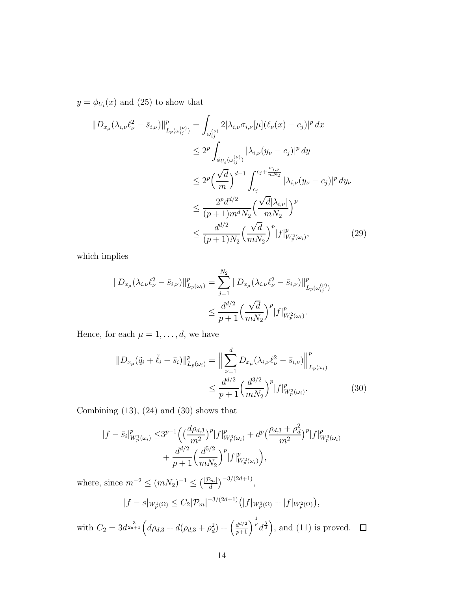$y = \phi_{U_i}(x)$  and (25) to show that

$$
\|D_{x_{\mu}}(\lambda_{i,\nu} \ell_{\nu}^{2} - \bar{s}_{i,\nu})\|_{L_{p}(\omega_{ij}^{(\nu)})}^{p} = \int_{\omega_{ij}^{(\nu)}} 2|\lambda_{i,\nu}\sigma_{i,\nu}[\mu](\ell_{\nu}(x) - c_{j})|^{p} dx
$$
  
\n
$$
\leq 2^{p} \int_{\phi_{U_{i}}(\omega_{ij}^{(\nu)})} |\lambda_{i,\nu}(y_{\nu} - c_{j})|^{p} dy
$$
  
\n
$$
\leq 2^{p} \left(\frac{\sqrt{d}}{m}\right)^{d-1} \int_{c_{j}}^{c_{j} + \frac{w_{i,\nu}}{mN_{2}}} |\lambda_{i,\nu}(y_{\nu} - c_{j})|^{p} dy
$$
  
\n
$$
\leq \frac{2^{p} d^{d/2}}{(p+1)m^{d}N_{2}} \left(\frac{\sqrt{d}|\lambda_{i,\nu}|}{mN_{2}}\right)^{p}
$$
  
\n
$$
\leq \frac{d^{d/2}}{(p+1)N_{2}} \left(\frac{\sqrt{d}}{mN_{2}}\right)^{p} |f|_{W_{p}^{2}(\omega_{i})}^{p}, \tag{29}
$$

which implies

$$
||D_{x_{\mu}}(\lambda_{i,\nu}\ell_{\nu}^{2} - \bar{s}_{i,\nu})||_{L_{p}(\omega_{i})}^{p} = \sum_{j=1}^{N_{2}} ||D_{x_{\mu}}(\lambda_{i,\nu}\ell_{\nu}^{2} - \bar{s}_{i,\nu})||_{L_{p}(\omega_{ij}^{(\nu)})}^{p}
$$
  

$$
\leq \frac{d^{d/2}}{p+1} \Big(\frac{\sqrt{d}}{mN_{2}}\Big)^{p} |f|_{W_{p}^{2}(\omega_{i})}^{p}.
$$

Hence, for each  $\mu=1,\ldots,d,$  we have

$$
||D_{x_{\mu}}(\tilde{q}_{i} + \tilde{\ell}_{i} - \bar{s}_{i})||_{L_{p}(\omega_{i})}^{p} = \Big\| \sum_{\nu=1}^{d} D_{x_{\mu}}(\lambda_{i,\nu} \ell_{\nu}^{2} - \bar{s}_{i,\nu}) \Big\|_{L_{p}(\omega_{i})}^{p}
$$

$$
\leq \frac{d^{d/2}}{p+1} \Big(\frac{d^{3/2}}{mN_{2}}\Big)^{p} |f|_{W_{p}^{2}(\omega_{i})}^{p}.
$$
(30)

Combining  $(13)$ ,  $(24)$  and  $(30)$  shows that

$$
|f - \bar{s}_i|_{W_p^1(\omega_i)}^p \le 3^{p-1} \left( \left( \frac{d\rho_{d,3}}{m^2} \right)^p |f|_{W_p^3(\omega_i)}^p + d^p \left( \frac{\rho_{d,3} + \rho_d^2}{m^2} \right)^p |f|_{W_p^3(\omega_i)}^p + \frac{d^{d/2}}{p+1} \left( \frac{d^{5/2}}{mN_2} \right)^p |f|_{W_p^2(\omega_i)}^p \right),
$$

where, since  $m^{-2} \le (mN_2)^{-1} \le (\frac{|\mathcal{P}_m|}{d})^{-3/(2d+1)},$ 

$$
|f - s|_{W_p^1(\Omega)} \le C_2 |\mathcal{P}_m|^{-3/(2d+1)} \left( |f|_{W_p^3(\Omega)} + |f|_{W_p^2(\Omega)} \right),
$$

with  $C_2 = 3d^{\frac{3}{2d+1}}\Big(d\rho_{d,3} + d(\rho_{d,3} + \rho_d^2) + \left(\frac{d^{d/2}}{p+1}\right)^{\frac{1}{p}}d^{\frac{3}{2}}\Big)$ , and (11) is proved.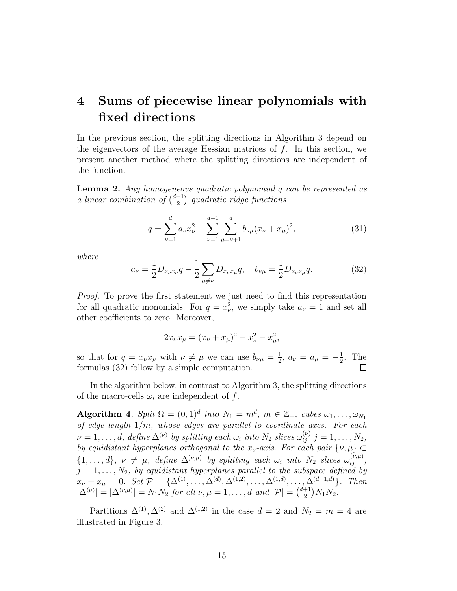# 4 Sums of piecewise linear polynomials with fixed directions

In the previous section, the splitting directions in Algorithm 3 depend on the eigenvectors of the average Hessian matrices of  $f$ . In this section, we present another method where the splitting directions are independent of the function.

Lemma 2. Any homogeneous quadratic polynomial q can be represented as a linear combination of  $\binom{d+1}{2}$  $\binom{+1}{2}$  quadratic ridge functions

$$
q = \sum_{\nu=1}^{d} a_{\nu} x_{\nu}^{2} + \sum_{\nu=1}^{d-1} \sum_{\mu=\nu+1}^{d} b_{\nu\mu} (x_{\nu} + x_{\mu})^{2},
$$
\n(31)

where

$$
a_{\nu} = \frac{1}{2} D_{x_{\nu}x_{\nu}} q - \frac{1}{2} \sum_{\mu \neq \nu} D_{x_{\nu}x_{\mu}} q, \quad b_{\nu\mu} = \frac{1}{2} D_{x_{\nu}x_{\mu}} q.
$$
 (32)

Proof. To prove the first statement we just need to find this representation for all quadratic monomials. For  $q = x_{\nu}^2$ , we simply take  $a_{\nu} = 1$  and set all other coefficients to zero. Moreover,

$$
2x_{\nu}x_{\mu} = (x_{\nu} + x_{\mu})^2 - x_{\nu}^2 - x_{\mu}^2,
$$

so that for  $q = x_{\nu} x_{\mu}$  with  $\nu \neq \mu$  we can use  $b_{\nu\mu} = \frac{1}{2}$  $\frac{1}{2}$ ,  $a_{\nu} = a_{\mu} = -\frac{1}{2}$  $\frac{1}{2}$ . The formulas (32) follow by a simple computation.  $\Box$ 

In the algorithm below, in contrast to Algorithm 3, the splitting directions of the macro-cells  $\omega_i$  are independent of f.

Algorithm 4. Split  $\Omega = (0,1)^d$  into  $N_1 = m^d$ ,  $m \in \mathbb{Z}_+$ , cubes  $\omega_1, \ldots, \omega_{N_1}$ of edge length  $1/m$ , whose edges are parallel to coordinate axes. For each  $\nu=1,\ldots,d,$  define  $\Delta^{(\nu)}$  by splitting each  $\omega_i$  into  $N_2$  slices  $\omega_{ij}^{(\nu)}$   $j=1,\ldots,N_2,$ by equidistant hyperplanes orthogonal to the  $x_{\nu}$ -axis. For each pair  $\{\nu,\mu\}\subset$  $\{1,\ldots,d\},\ \nu \neq \mu,\ \text{define } \Delta^{(\nu,\mu)}\ \text{by splitting each }\omega_i\ \text{into}\ N_2\ \text{ slices }\omega_{ij}^{(\nu,\mu)},$  $j = 1, \ldots, N_2$ , by equidistant hyperplanes parallel to the subspace defined by  $x_{\nu} + x_{\mu} = 0$ . Set  $\mathcal{P} = {\{\Delta^{(1)}, \ldots, \Delta^{(d)}, \Delta^{(1,2)}, \ldots, \Delta^{(1,d)}, \ldots, \Delta^{(d-1,d)}\}}$ . Then  $|\Delta^{(\nu)}| = |\Delta^{(\nu,\mu)}| = N_1 N_2$  for all  $\nu, \mu = 1, ..., d$  and  $|\mathcal{P}| = \binom{d+1}{2}$  $_{2}^{+1})N_{1}N_{2}.$ 

Partitions  $\Delta^{(1)}, \Delta^{(2)}$  and  $\Delta^{(1,2)}$  in the case  $d = 2$  and  $N_2 = m = 4$  are illustrated in Figure 3.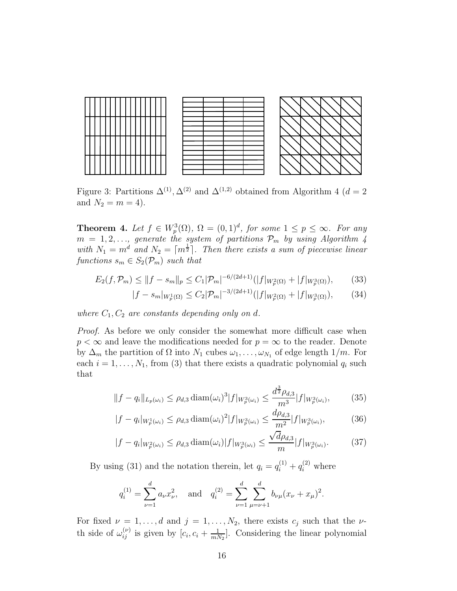

Figure 3: Partitions  $\Delta^{(1)}$ ,  $\Delta^{(2)}$  and  $\Delta^{(1,2)}$  obtained from Algorithm 4 ( $d=2$ and  $N_2 = m = 4$ .

**Theorem 4.** Let  $f \in W_p^3(\Omega)$ ,  $\Omega = (0, 1)^d$ , for some  $1 \le p \le \infty$ . For any  $m = 1, 2, \ldots$ , generate the system of partitions  $\mathcal{P}_m$  by using Algorithm 4 with  $N_1 = m^d$  and  $N_2 = \lceil m^{\frac{1}{2}} \rceil$ . Then there exists a sum of piecewise linear functions  $s_m \in S_2(\mathcal{P}_m)$  such that

$$
E_2(f, \mathcal{P}_m) \le ||f - s_m||_p \le C_1 |\mathcal{P}_m|^{-6/(2d+1)} (|f|_{W_p^2(\Omega)} + |f|_{W_p^3(\Omega)}), \tag{33}
$$

$$
|f - s_m|_{W_p^1(\Omega)} \le C_2 |\mathcal{P}_m|^{-3/(2d+1)} (|f|_{W_p^2(\Omega)} + |f|_{W_p^3(\Omega)}), \tag{34}
$$

where  $C_1, C_2$  are constants depending only on d.

Proof. As before we only consider the somewhat more difficult case when  $p < \infty$  and leave the modifications needed for  $p = \infty$  to the reader. Denote by  $\Delta_m$  the partition of  $\Omega$  into  $N_1$  cubes  $\omega_1, \ldots, \omega_{N_1}$  of edge length  $1/m$ . For each  $i = 1, \ldots, N_1$ , from (3) that there exists a quadratic polynomial  $q_i$  such that

$$
||f - q_i||_{L_p(\omega_i)} \le \rho_{d,3} \operatorname{diam}(\omega_i)^3 |f|_{W_p^3(\omega_i)} \le \frac{d^{\frac{3}{2}} \rho_{d,3}}{m^3} |f|_{W_p^3(\omega_i)},\tag{35}
$$

$$
|f - q_i|_{W_p^1(\omega_i)} \le \rho_{d,3} \operatorname{diam}(\omega_i)^2 |f|_{W_p^3(\omega_i)} \le \frac{d\rho_{d,3}}{m^2} |f|_{W_p^3(\omega_i)},\tag{36}
$$

$$
|f - q_i|_{W_p^2(\omega_i)} \le \rho_{d,3} \operatorname{diam}(\omega_i) |f|_{W_p^3(\omega_i)} \le \frac{\sqrt{d}\rho_{d,3}}{m} |f|_{W_p^3(\omega_i)}.\tag{37}
$$

By using (31) and the notation therein, let  $q_i = q_i^{(1)} + q_i^{(2)}$  where

$$
q_i^{(1)} = \sum_{\nu=1}^d a_\nu x_\nu^2
$$
, and  $q_i^{(2)} = \sum_{\nu=1}^d \sum_{\mu=\nu+1}^d b_{\nu\mu} (x_\nu + x_\mu)^2$ .

For fixed  $\nu = 1, \ldots, d$  and  $j = 1, \ldots, N_2$ , there exists  $c_j$  such that the  $\nu$ th side of  $\omega_{ij}^{(\nu)}$  is given by  $[c_i, c_i + \frac{1}{mN}]$  $\frac{1}{mN_2}$ . Considering the linear polynomial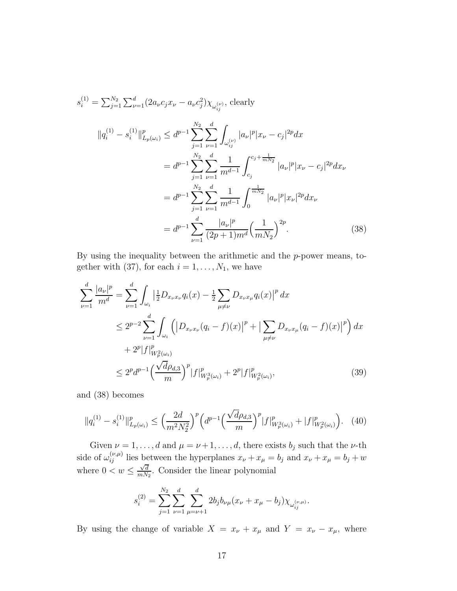$$
s_i^{(1)} = \sum_{j=1}^{N_2} \sum_{\nu=1}^d (2a_{\nu}c_jx_{\nu} - a_{\nu}c_j^2) \chi_{\omega_{ij}^{(\nu)}}, \text{ clearly}
$$
  
\n
$$
||q_i^{(1)} - s_i^{(1)}||_{L_p(\omega_i)}^p \le d^{p-1} \sum_{j=1}^{N_2} \sum_{\nu=1}^d \int_{\omega_{ij}^{(\nu)}} |a_{\nu}|^p |x_{\nu} - c_j|^{2p} dx
$$
  
\n
$$
= d^{p-1} \sum_{j=1}^{N_2} \sum_{\nu=1}^d \frac{1}{m^{d-1}} \int_{c_j}^{c_j + \frac{1}{mN_2}} |a_{\nu}|^p |x_{\nu} - c_j|^{2p} dx_{\nu}
$$
  
\n
$$
= d^{p-1} \sum_{j=1}^{N_2} \sum_{\nu=1}^d \frac{1}{m^{d-1}} \int_0^{\frac{1}{mN_2}} |a_{\nu}|^p |x_{\nu}|^{2p} dx_{\nu}
$$
  
\n
$$
= d^{p-1} \sum_{\nu=1}^d \frac{|a_{\nu}|^p}{(2p+1)m^d} \Big(\frac{1}{mN_2}\Big)^{2p}.
$$
 (38)

By using the inequality between the arithmetic and the  $p$ -power means, together with (37), for each  $i = 1, \ldots, N_1$ , we have

$$
\sum_{\nu=1}^{d} \frac{|a_{\nu}|^{p}}{m^{d}} = \sum_{\nu=1}^{d} \int_{\omega_{i}} \left| \frac{1}{2} D_{x_{\nu}x_{\nu}} q_{i}(x) - \frac{1}{2} \sum_{\mu \neq \nu} D_{x_{\nu}x_{\mu}} q_{i}(x) \right|^{p} dx
$$
\n
$$
\leq 2^{p-2} \sum_{\nu=1}^{d} \int_{\omega_{i}} \left( \left| D_{x_{\nu}x_{\nu}} (q_{i} - f)(x) \right|^{p} + \left| \sum_{\mu \neq \nu} D_{x_{\nu}x_{\mu}} (q_{i} - f)(x) \right|^{p} \right) dx
$$
\n
$$
+ 2^{p} |f|_{W_{p}^{2}(\omega_{i})}^{p}
$$
\n
$$
\leq 2^{p} d^{p-1} \left( \frac{\sqrt{d} \rho_{d,3}}{m} \right)^{p} |f|_{W_{p}^{3}(\omega_{i})}^{p} + 2^{p} |f|_{W_{p}^{2}(\omega_{i})}^{p}, \tag{39}
$$

and (38) becomes

$$
\|q_i^{(1)} - s_i^{(1)}\|_{L_p(\omega_i)}^p \le \left(\frac{2d}{m^2 N_2^2}\right)^p \left(d^{p-1} \left(\frac{\sqrt{d}\rho_{d,3}}{m}\right)^p |f|_{W_p^3(\omega_i)}^p + |f|_{W_p^2(\omega_i)}^p\right). \tag{40}
$$

Given  $\nu = 1, \ldots, d$  and  $\mu = \nu + 1, \ldots, d$ , there exists  $b_j$  such that the  $\nu$ -th side of  $\omega_{ij}^{(\nu,\mu)}$  lies between the hyperplanes  $x_{\nu} + x_{\mu} = b_j$  and  $x_{\nu} + x_{\mu} = b_j + w$ where  $0 < w \leq \frac{\sqrt{d}}{mN}$  $\frac{\sqrt{d}}{mN_2}$ . Consider the linear polynomial

$$
s_i^{(2)} = \sum_{j=1}^{N_2} \sum_{\nu=1}^d \sum_{\mu=\nu+1}^d 2b_j b_{\nu\mu} (x_\nu + x_\mu - b_j) \chi_{\omega_{ij}^{(\nu,\mu)}}.
$$

By using the change of variable  $X = x_{\nu} + x_{\mu}$  and  $Y = x_{\nu} - x_{\mu}$ , where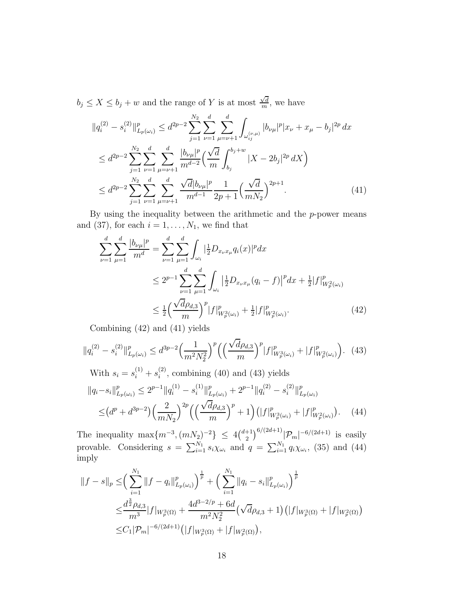$b_j \leq X \leq b_j + w$  and the range of Y is at most  $\frac{\sqrt{d}}{m}$  $\frac{\sqrt{d}}{m}$ , we have

$$
||q_{i}^{(2)} - s_{i}^{(2)}||_{L_{p}(\omega_{i})}^{p} \leq d^{2p-2} \sum_{j=1}^{N_{2}} \sum_{\nu=1}^{d} \sum_{\mu=\nu+1}^{d} \int_{\omega_{ij}^{(\nu,\mu)}} |b_{\nu\mu}|^{p} |x_{\nu} + x_{\mu} - b_{j}|^{2p} dx
$$
  
\n
$$
\leq d^{2p-2} \sum_{j=1}^{N_{2}} \sum_{\nu=1}^{d} \sum_{\mu=\nu+1}^{d} \frac{|b_{\nu\mu}|^{p}}{m^{d-2}} \left(\frac{\sqrt{d}}{m} \int_{b_{j}}^{b_{j}+w} |X - 2b_{j}|^{2p} dX\right)
$$
  
\n
$$
\leq d^{2p-2} \sum_{j=1}^{N_{2}} \sum_{\nu=1}^{d} \sum_{\mu=\nu+1}^{d} \frac{\sqrt{d} |b_{\nu\mu}|^{p}}{m^{d-1}} \frac{1}{2p+1} \left(\frac{\sqrt{d}}{m N_{2}}\right)^{2p+1}.
$$
 (41)

By using the inequality between the arithmetic and the  $p$ -power means and (37), for each  $i = 1, \ldots, N_1$ , we find that

$$
\sum_{\nu=1}^{d} \sum_{\mu=1}^{d} \frac{|b_{\nu\mu}|^{p}}{m^{d}} = \sum_{\nu=1}^{d} \sum_{\mu=1}^{d} \int_{\omega_{i}} |\frac{1}{2}D_{x_{\nu}x_{\mu}}q_{i}(x)|^{p} dx
$$
\n
$$
\leq 2^{p-1} \sum_{\nu=1}^{d} \sum_{\mu=1}^{d} \int_{\omega_{i}} |\frac{1}{2}D_{x_{\nu}x_{\mu}}(q_{i} - f)|^{p} dx + \frac{1}{2}|f|^{p}_{W_{p}^{2}(\omega_{i})}
$$
\n
$$
\leq \frac{1}{2} \Big(\frac{\sqrt{d}\rho_{d,3}}{m}\Big)^{p} |f|^{p}_{W_{p}^{3}(\omega_{i})} + \frac{1}{2}|f|^{p}_{W_{p}^{2}(\omega_{i})}. \tag{42}
$$

Combining (42) and (41) yields

$$
||q_i^{(2)} - s_i^{(2)}||^p_{L_p(\omega_i)} \le d^{3p-2} \left(\frac{1}{m^2 N_2^2}\right)^p \left(\left(\frac{\sqrt{d}\rho_{d,3}}{m}\right)^p |f|^p_{W_p^3(\omega_i)} + |f|^p_{W_p^2(\omega_i)}\right). \tag{43}
$$

With 
$$
s_i = s_i^{(1)} + s_i^{(2)}
$$
, combining (40) and (43) yields  
\n
$$
||q_i - s_i||^p_{L_p(\omega_i)} \le 2^{p-1} ||q_i^{(1)} - s_i^{(1)}||^p_{L_p(\omega_i)} + 2^{p-1} ||q_i^{(2)} - s_i^{(2)}||^p_{L_p(\omega_i)}
$$
\n
$$
\le (d^p + d^{3p-2}) \left(\frac{2}{mN_2}\right)^{2p} \left(\left(\frac{\sqrt{d}\rho_{d,3}}{m}\right)^p + 1\right) \left(|f|^p_{W_p^3(\omega_i)} + |f|^p_{W_p^2(\omega_i)}\right). \tag{44}
$$

The inequality  $\max\{m^{-3}, (mN_2)^{-2}\} \leq 4 {d+1 \choose 2}$  $\int_{2}^{+1} \int_{2}^{6/(2d+1)} |\mathcal{P}_m|^{-6/(2d+1)}$  is easily provable. Considering  $s = \sum_{i=1}^{N_1} s_i \chi_{\omega_i}$  and  $q = \sum_{i=1}^{N_1} q_i \chi_{\omega_i}$ , (35) and (44) imply

$$
||f - s||_p \leq \left(\sum_{i=1}^{N_1} ||f - q_i||_{L_p(\omega_i)}^p\right)^{\frac{1}{p}} + \left(\sum_{i=1}^{N_1} ||q_i - s_i||_{L_p(\omega_i)}^p\right)^{\frac{1}{p}}
$$
  

$$
\leq \frac{d^{\frac{3}{2}}\rho_{d,3}}{m^3} |f|_{W_p^3(\Omega)} + \frac{4d^{3-2/p} + 6d}{m^2 N_2^2} \left(\sqrt{d}\rho_{d,3} + 1\right) \left(|f|_{W_p^3(\Omega)} + |f|_{W_p^2(\Omega)}\right)
$$
  

$$
\leq C_1 |\mathcal{P}_m|^{-6/(2d+1)} \left(|f|_{W_p^3(\Omega)} + |f|_{W_p^2(\Omega)}\right),
$$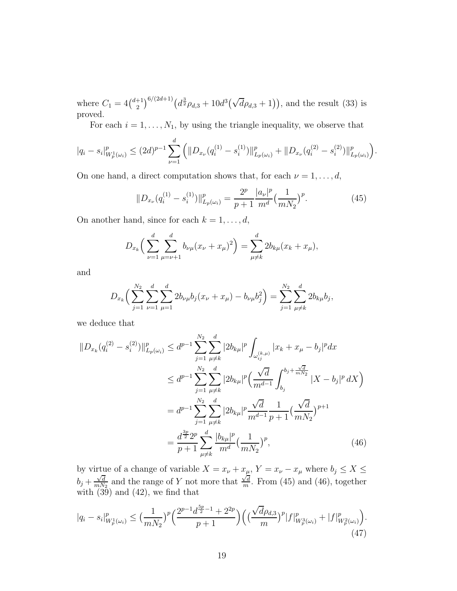where  $C_1 = 4\binom{d+1}{2}$  $\binom{+1}{2}^{6/(2d+1)} \left( d^{\frac{3}{2}} \rho_{d,3} + 10d^3(\sqrt{d} \rho_{d,3} + 1) \right)$ , and the result (33) is proved.

For each  $i = 1, \ldots, N_1$ , by using the triangle inequality, we observe that

$$
|q_i - s_i|_{W_p^1(\omega_i)}^p \leq (2d)^{p-1} \sum_{\nu=1}^d \left( \|D_{x_{\nu}}(q_i^{(1)} - s_i^{(1)})\|_{L_p(\omega_i)}^p + \|D_{x_{\nu}}(q_i^{(2)} - s_i^{(2)})\|_{L_p(\omega_i)}^p \right).
$$

On one hand, a direct computation shows that, for each  $\nu = 1, \ldots, d$ ,

$$
||D_{x_{\nu}}(q_i^{(1)} - s_i^{(1)})||_{L_p(\omega_i)}^p = \frac{2^p}{p+1} \frac{|a_{\nu}|^p}{m!} \left(\frac{1}{mN_2}\right)^p.
$$
 (45)

On another hand, since for each  $k = 1, \ldots, d$ ,

$$
D_{x_k} \left( \sum_{\nu=1}^d \sum_{\mu=\nu+1}^d b_{\nu\mu} (x_{\nu} + x_{\mu})^2 \right) = \sum_{\mu \neq k}^d 2b_{k\mu} (x_k + x_{\mu}),
$$

and

$$
D_{x_k} \left( \sum_{j=1}^{N_2} \sum_{\nu=1}^d \sum_{\mu=1}^d 2b_{\nu\mu} b_j (x_{\nu} + x_{\mu}) - b_{\nu\mu} b_j^2 \right) = \sum_{j=1}^{N_2} \sum_{\mu \neq k}^d 2b_{k\mu} b_j,
$$

we deduce that

$$
||D_{x_k}(q_i^{(2)} - s_i^{(2)})||_{L_p(\omega_i)}^p \le d^{p-1} \sum_{j=1}^{N_2} \sum_{\mu \neq k}^d |2b_{k\mu}|^p \int_{\omega_{ij}^{(k,\mu)}} |x_k + x_\mu - b_j|^p dx
$$
  
\n
$$
\le d^{p-1} \sum_{j=1}^{N_2} \sum_{\mu \neq k}^d |2b_{k\mu}|^p \Big(\frac{\sqrt{d}}{m^{d-1}} \int_{b_j}^{b_j + \frac{\sqrt{d}}{mN_2}} |X - b_j|^p dX\Big)
$$
  
\n
$$
= d^{p-1} \sum_{j=1}^{N_2} \sum_{\mu \neq k}^d |2b_{k\mu}|^p \frac{\sqrt{d}}{m^{d-1}} \frac{1}{p+1} \Big(\frac{\sqrt{d}}{mN_2}\Big)^{p+1}
$$
  
\n
$$
= \frac{d^{\frac{3p}{2}} 2^p}{p+1} \sum_{\mu \neq k}^d \frac{|b_{k\mu}|^p}{m^d} \Big(\frac{1}{mN_2}\Big)^p,
$$
 (46)

by virtue of a change of variable  $X = x_{\nu} + x_{\mu}$ ,  $Y = x_{\nu} - x_{\mu}$  where  $b_j \leq X \leq$  $b_j + \frac{\sqrt{d}}{mN}$  $\frac{\sqrt{d}}{mN_2}$  and the range of Y not more that  $\frac{\sqrt{d}}{m}$  $\frac{\sqrt{d}}{m}$ . From (45) and (46), together with  $(39)$  and  $(42)$ , we find that

$$
|q_i - s_i|_{W_p^1(\omega_i)}^p \le \left(\frac{1}{mN_2}\right)^p \left(\frac{2^{p-1}d^{\frac{5p}{2}-1} + 2^{2p}}{p+1}\right) \left(\left(\frac{\sqrt{d}\rho_{d,3}}{m}\right)^p |f|_{W_p^3(\omega_i)}^p + |f|_{W_p^2(\omega_i)}^p\right). \tag{47}
$$